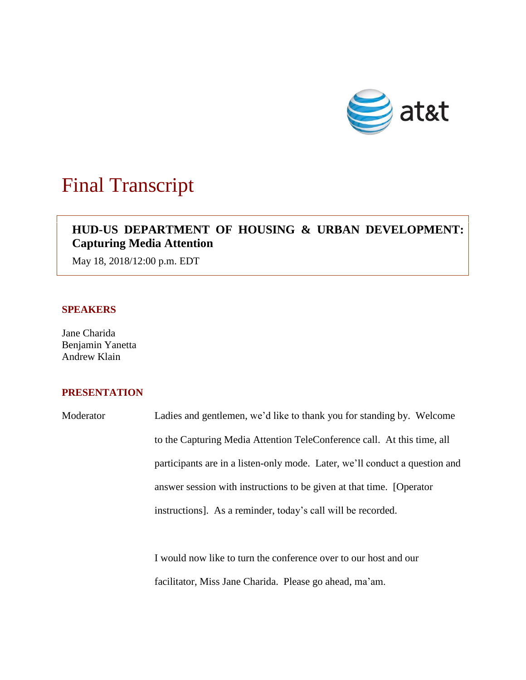

## Final Transcript

## **HUD-US DEPARTMENT OF HOUSING & URBAN DEVELOPMENT: Capturing Media Attention**

May 18, 2018/12:00 p.m. EDT

## **SPEAKERS**

Jane Charida Benjamin Yanetta Andrew Klain

## **PRESENTATION**

Moderator Ladies and gentlemen, we'd like to thank you for standing by. Welcome to the Capturing Media Attention TeleConference call. At this time, all participants are in a listen-only mode. Later, we'll conduct a question and answer session with instructions to be given at that time. [Operator instructions]. As a reminder, today's call will be recorded.

> I would now like to turn the conference over to our host and our facilitator, Miss Jane Charida. Please go ahead, ma'am.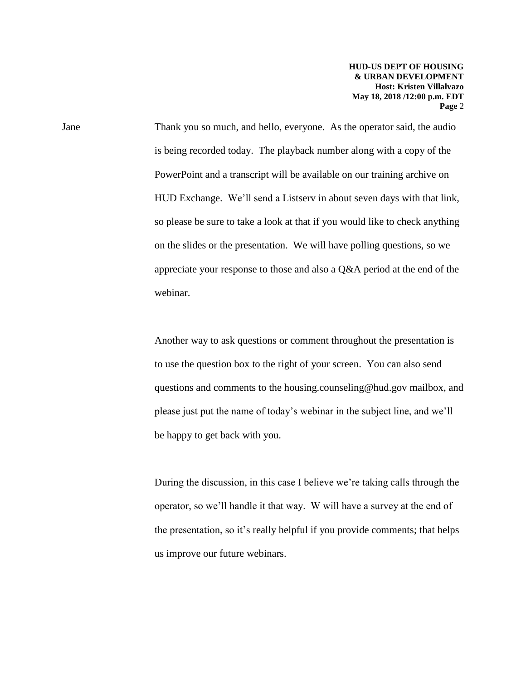Jane Thank you so much, and hello, everyone. As the operator said, the audio is being recorded today. The playback number along with a copy of the PowerPoint and a transcript will be available on our training archive on HUD Exchange. We'll send a Listserv in about seven days with that link, so please be sure to take a look at that if you would like to check anything on the slides or the presentation. We will have polling questions, so we appreciate your response to those and also a Q&A period at the end of the webinar.

> Another way to ask questions or comment throughout the presentation is to use the question box to the right of your screen. You can also send questions and comments to the housing.counseling@hud.gov mailbox, and please just put the name of today's webinar in the subject line, and we'll be happy to get back with you.

During the discussion, in this case I believe we're taking calls through the operator, so we'll handle it that way. W will have a survey at the end of the presentation, so it's really helpful if you provide comments; that helps us improve our future webinars.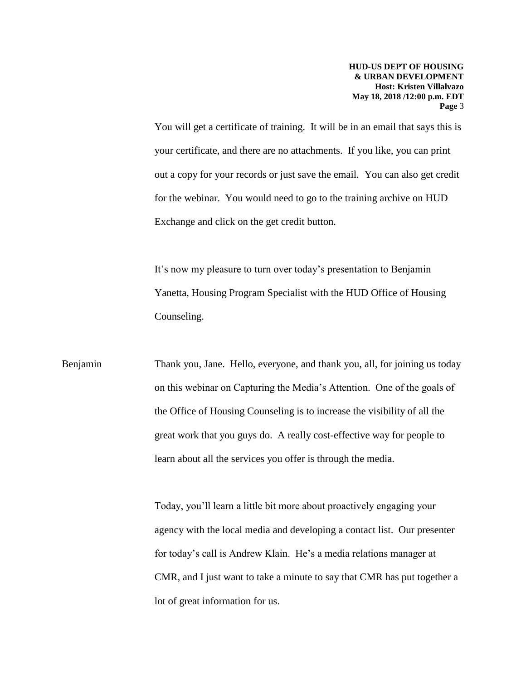You will get a certificate of training. It will be in an email that says this is your certificate, and there are no attachments. If you like, you can print out a copy for your records or just save the email. You can also get credit for the webinar. You would need to go to the training archive on HUD Exchange and click on the get credit button.

It's now my pleasure to turn over today's presentation to Benjamin Yanetta, Housing Program Specialist with the HUD Office of Housing Counseling.

Benjamin Thank you, Jane. Hello, everyone, and thank you, all, for joining us today on this webinar on Capturing the Media's Attention. One of the goals of the Office of Housing Counseling is to increase the visibility of all the great work that you guys do. A really cost-effective way for people to learn about all the services you offer is through the media.

> Today, you'll learn a little bit more about proactively engaging your agency with the local media and developing a contact list. Our presenter for today's call is Andrew Klain. He's a media relations manager at CMR, and I just want to take a minute to say that CMR has put together a lot of great information for us.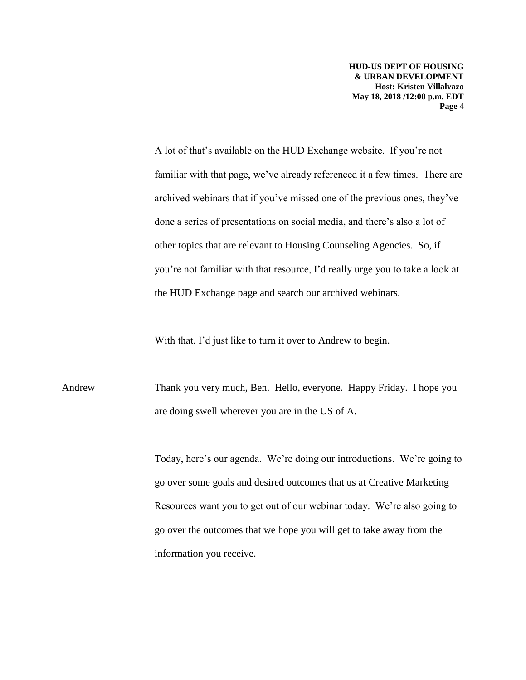A lot of that's available on the HUD Exchange website. If you're not familiar with that page, we've already referenced it a few times. There are archived webinars that if you've missed one of the previous ones, they've done a series of presentations on social media, and there's also a lot of other topics that are relevant to Housing Counseling Agencies. So, if you're not familiar with that resource, I'd really urge you to take a look at the HUD Exchange page and search our archived webinars.

With that, I'd just like to turn it over to Andrew to begin.

Andrew Thank you very much, Ben. Hello, everyone. Happy Friday. I hope you are doing swell wherever you are in the US of A.

> Today, here's our agenda. We're doing our introductions. We're going to go over some goals and desired outcomes that us at Creative Marketing Resources want you to get out of our webinar today. We're also going to go over the outcomes that we hope you will get to take away from the information you receive.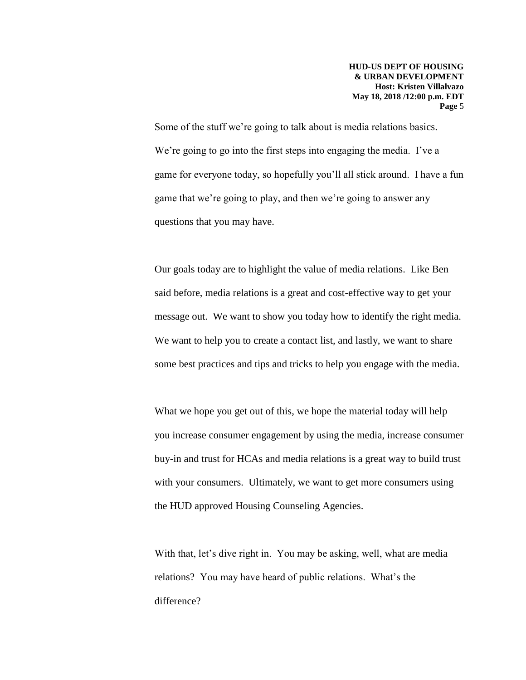Some of the stuff we're going to talk about is media relations basics. We're going to go into the first steps into engaging the media. I've a game for everyone today, so hopefully you'll all stick around. I have a fun game that we're going to play, and then we're going to answer any questions that you may have.

Our goals today are to highlight the value of media relations. Like Ben said before, media relations is a great and cost-effective way to get your message out. We want to show you today how to identify the right media. We want to help you to create a contact list, and lastly, we want to share some best practices and tips and tricks to help you engage with the media.

What we hope you get out of this, we hope the material today will help you increase consumer engagement by using the media, increase consumer buy-in and trust for HCAs and media relations is a great way to build trust with your consumers. Ultimately, we want to get more consumers using the HUD approved Housing Counseling Agencies.

With that, let's dive right in. You may be asking, well, what are media relations? You may have heard of public relations. What's the difference?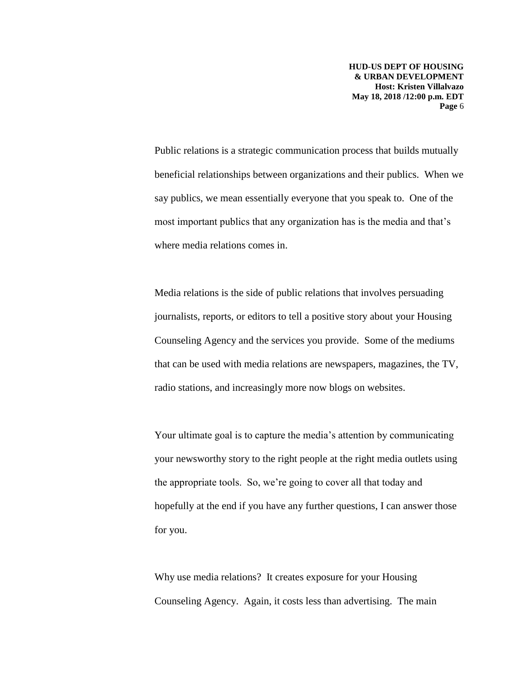Public relations is a strategic communication process that builds mutually beneficial relationships between organizations and their publics. When we say publics, we mean essentially everyone that you speak to. One of the most important publics that any organization has is the media and that's where media relations comes in.

Media relations is the side of public relations that involves persuading journalists, reports, or editors to tell a positive story about your Housing Counseling Agency and the services you provide. Some of the mediums that can be used with media relations are newspapers, magazines, the TV, radio stations, and increasingly more now blogs on websites.

Your ultimate goal is to capture the media's attention by communicating your newsworthy story to the right people at the right media outlets using the appropriate tools. So, we're going to cover all that today and hopefully at the end if you have any further questions, I can answer those for you.

Why use media relations? It creates exposure for your Housing Counseling Agency. Again, it costs less than advertising. The main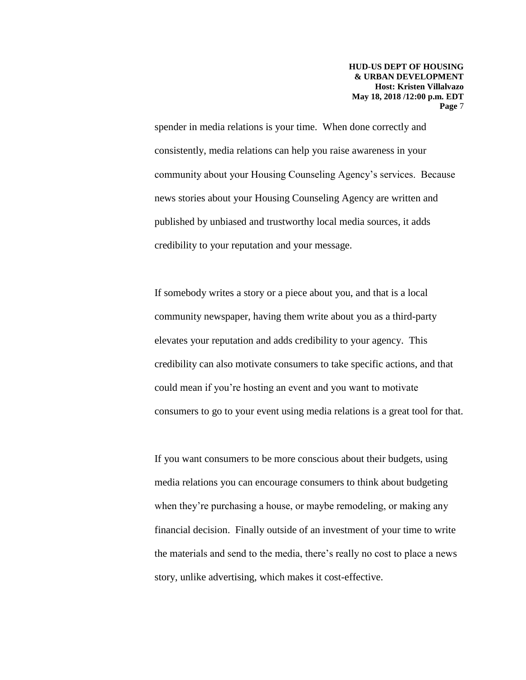spender in media relations is your time. When done correctly and consistently, media relations can help you raise awareness in your community about your Housing Counseling Agency's services. Because news stories about your Housing Counseling Agency are written and published by unbiased and trustworthy local media sources, it adds credibility to your reputation and your message.

If somebody writes a story or a piece about you, and that is a local community newspaper, having them write about you as a third-party elevates your reputation and adds credibility to your agency. This credibility can also motivate consumers to take specific actions, and that could mean if you're hosting an event and you want to motivate consumers to go to your event using media relations is a great tool for that.

If you want consumers to be more conscious about their budgets, using media relations you can encourage consumers to think about budgeting when they're purchasing a house, or maybe remodeling, or making any financial decision. Finally outside of an investment of your time to write the materials and send to the media, there's really no cost to place a news story, unlike advertising, which makes it cost-effective.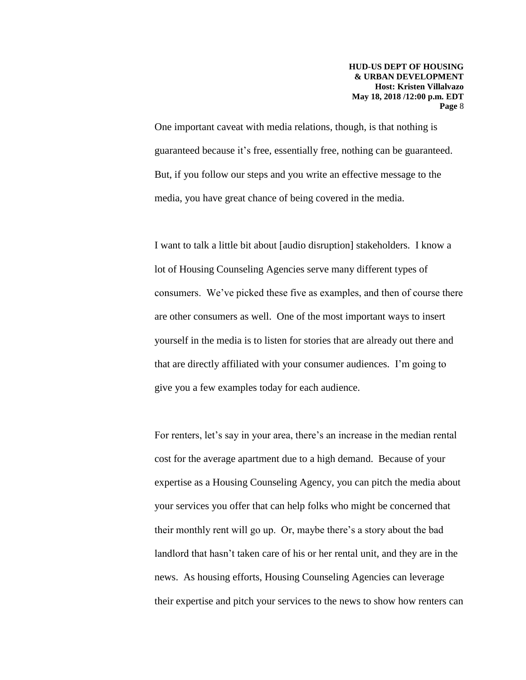One important caveat with media relations, though, is that nothing is guaranteed because it's free, essentially free, nothing can be guaranteed. But, if you follow our steps and you write an effective message to the media, you have great chance of being covered in the media.

I want to talk a little bit about [audio disruption] stakeholders. I know a lot of Housing Counseling Agencies serve many different types of consumers. We've picked these five as examples, and then of course there are other consumers as well. One of the most important ways to insert yourself in the media is to listen for stories that are already out there and that are directly affiliated with your consumer audiences. I'm going to give you a few examples today for each audience.

For renters, let's say in your area, there's an increase in the median rental cost for the average apartment due to a high demand. Because of your expertise as a Housing Counseling Agency, you can pitch the media about your services you offer that can help folks who might be concerned that their monthly rent will go up. Or, maybe there's a story about the bad landlord that hasn't taken care of his or her rental unit, and they are in the news. As housing efforts, Housing Counseling Agencies can leverage their expertise and pitch your services to the news to show how renters can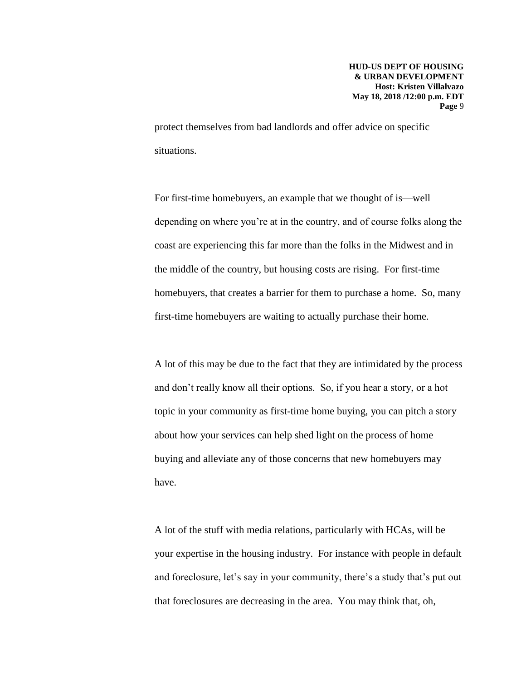protect themselves from bad landlords and offer advice on specific situations.

For first-time homebuyers, an example that we thought of is—well depending on where you're at in the country, and of course folks along the coast are experiencing this far more than the folks in the Midwest and in the middle of the country, but housing costs are rising. For first-time homebuyers, that creates a barrier for them to purchase a home. So, many first-time homebuyers are waiting to actually purchase their home.

A lot of this may be due to the fact that they are intimidated by the process and don't really know all their options. So, if you hear a story, or a hot topic in your community as first-time home buying, you can pitch a story about how your services can help shed light on the process of home buying and alleviate any of those concerns that new homebuyers may have.

A lot of the stuff with media relations, particularly with HCAs, will be your expertise in the housing industry. For instance with people in default and foreclosure, let's say in your community, there's a study that's put out that foreclosures are decreasing in the area. You may think that, oh,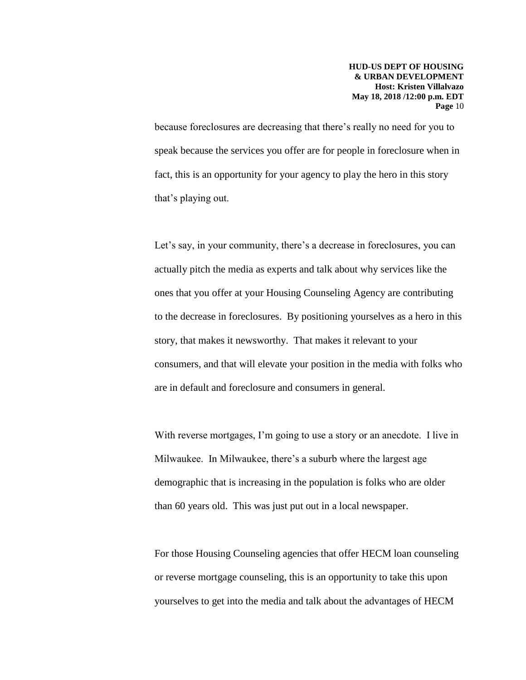because foreclosures are decreasing that there's really no need for you to speak because the services you offer are for people in foreclosure when in fact, this is an opportunity for your agency to play the hero in this story that's playing out.

Let's say, in your community, there's a decrease in foreclosures, you can actually pitch the media as experts and talk about why services like the ones that you offer at your Housing Counseling Agency are contributing to the decrease in foreclosures. By positioning yourselves as a hero in this story, that makes it newsworthy. That makes it relevant to your consumers, and that will elevate your position in the media with folks who are in default and foreclosure and consumers in general.

With reverse mortgages, I'm going to use a story or an anecdote. I live in Milwaukee. In Milwaukee, there's a suburb where the largest age demographic that is increasing in the population is folks who are older than 60 years old. This was just put out in a local newspaper.

For those Housing Counseling agencies that offer HECM loan counseling or reverse mortgage counseling, this is an opportunity to take this upon yourselves to get into the media and talk about the advantages of HECM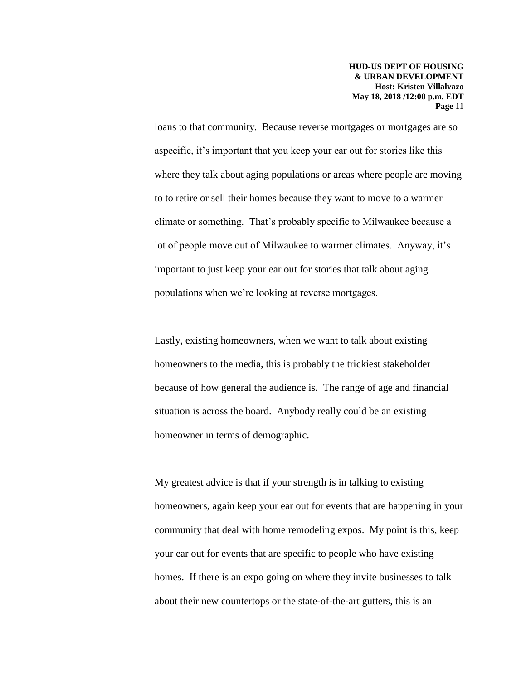loans to that community. Because reverse mortgages or mortgages are so aspecific, it's important that you keep your ear out for stories like this where they talk about aging populations or areas where people are moving to to retire or sell their homes because they want to move to a warmer climate or something. That's probably specific to Milwaukee because a lot of people move out of Milwaukee to warmer climates. Anyway, it's important to just keep your ear out for stories that talk about aging populations when we're looking at reverse mortgages.

Lastly, existing homeowners, when we want to talk about existing homeowners to the media, this is probably the trickiest stakeholder because of how general the audience is. The range of age and financial situation is across the board. Anybody really could be an existing homeowner in terms of demographic.

My greatest advice is that if your strength is in talking to existing homeowners, again keep your ear out for events that are happening in your community that deal with home remodeling expos. My point is this, keep your ear out for events that are specific to people who have existing homes. If there is an expo going on where they invite businesses to talk about their new countertops or the state-of-the-art gutters, this is an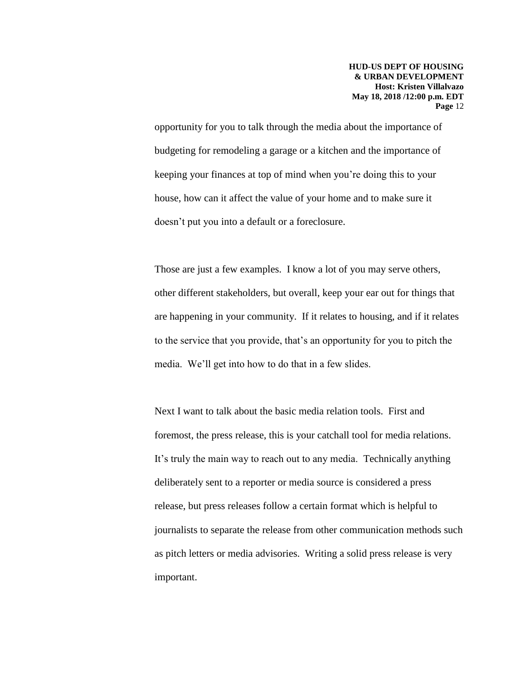opportunity for you to talk through the media about the importance of budgeting for remodeling a garage or a kitchen and the importance of keeping your finances at top of mind when you're doing this to your house, how can it affect the value of your home and to make sure it doesn't put you into a default or a foreclosure.

Those are just a few examples. I know a lot of you may serve others, other different stakeholders, but overall, keep your ear out for things that are happening in your community. If it relates to housing, and if it relates to the service that you provide, that's an opportunity for you to pitch the media. We'll get into how to do that in a few slides.

Next I want to talk about the basic media relation tools. First and foremost, the press release, this is your catchall tool for media relations. It's truly the main way to reach out to any media. Technically anything deliberately sent to a reporter or media source is considered a press release, but press releases follow a certain format which is helpful to journalists to separate the release from other communication methods such as pitch letters or media advisories. Writing a solid press release is very important.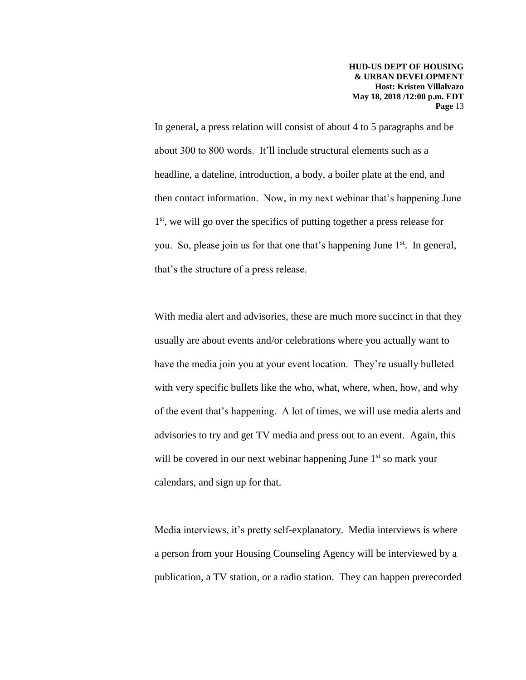In general, a press relation will consist of about 4 to 5 paragraphs and be about 300 to 800 words. It'll include structural elements such as a headline, a dateline, introduction, a body, a boiler plate at the end, and then contact information. Now, in my next webinar that's happening June 1<sup>st</sup>, we will go over the specifics of putting together a press release for you. So, please join us for that one that's happening June  $1<sup>st</sup>$ . In general, that's the structure of a press release.

With media alert and advisories, these are much more succinct in that they usually are about events and/or celebrations where you actually want to have the media join you at your event location. They're usually bulleted with very specific bullets like the who, what, where, when, how, and why of the event that's happening. A lot of times, we will use media alerts and advisories to try and get TV media and press out to an event. Again, this will be covered in our next webinar happening June  $1<sup>st</sup>$  so mark your calendars, and sign up for that.

Media interviews, it's pretty self-explanatory. Media interviews is where a person from your Housing Counseling Agency will be interviewed by a publication, a TV station, or a radio station. They can happen prerecorded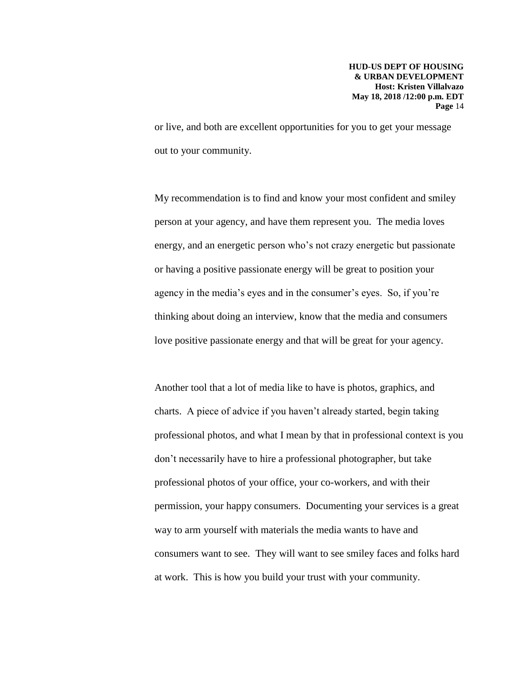or live, and both are excellent opportunities for you to get your message out to your community.

My recommendation is to find and know your most confident and smiley person at your agency, and have them represent you. The media loves energy, and an energetic person who's not crazy energetic but passionate or having a positive passionate energy will be great to position your agency in the media's eyes and in the consumer's eyes. So, if you're thinking about doing an interview, know that the media and consumers love positive passionate energy and that will be great for your agency.

Another tool that a lot of media like to have is photos, graphics, and charts. A piece of advice if you haven't already started, begin taking professional photos, and what I mean by that in professional context is you don't necessarily have to hire a professional photographer, but take professional photos of your office, your co-workers, and with their permission, your happy consumers. Documenting your services is a great way to arm yourself with materials the media wants to have and consumers want to see. They will want to see smiley faces and folks hard at work. This is how you build your trust with your community.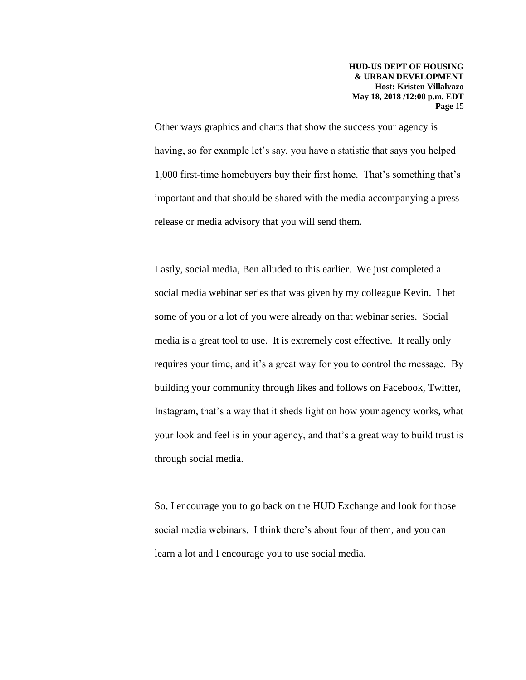Other ways graphics and charts that show the success your agency is having, so for example let's say, you have a statistic that says you helped 1,000 first-time homebuyers buy their first home. That's something that's important and that should be shared with the media accompanying a press release or media advisory that you will send them.

Lastly, social media, Ben alluded to this earlier. We just completed a social media webinar series that was given by my colleague Kevin. I bet some of you or a lot of you were already on that webinar series. Social media is a great tool to use. It is extremely cost effective. It really only requires your time, and it's a great way for you to control the message. By building your community through likes and follows on Facebook, Twitter, Instagram, that's a way that it sheds light on how your agency works, what your look and feel is in your agency, and that's a great way to build trust is through social media.

So, I encourage you to go back on the HUD Exchange and look for those social media webinars. I think there's about four of them, and you can learn a lot and I encourage you to use social media.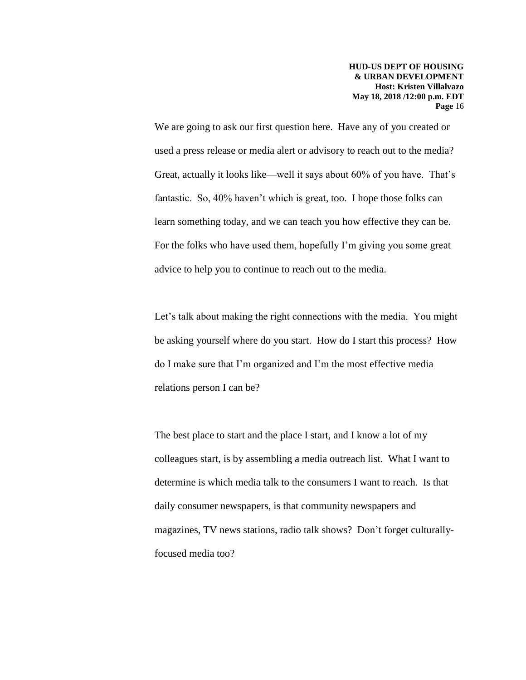We are going to ask our first question here. Have any of you created or used a press release or media alert or advisory to reach out to the media? Great, actually it looks like—well it says about 60% of you have. That's fantastic. So, 40% haven't which is great, too. I hope those folks can learn something today, and we can teach you how effective they can be. For the folks who have used them, hopefully I'm giving you some great advice to help you to continue to reach out to the media.

Let's talk about making the right connections with the media. You might be asking yourself where do you start. How do I start this process? How do I make sure that I'm organized and I'm the most effective media relations person I can be?

The best place to start and the place I start, and I know a lot of my colleagues start, is by assembling a media outreach list. What I want to determine is which media talk to the consumers I want to reach. Is that daily consumer newspapers, is that community newspapers and magazines, TV news stations, radio talk shows? Don't forget culturallyfocused media too?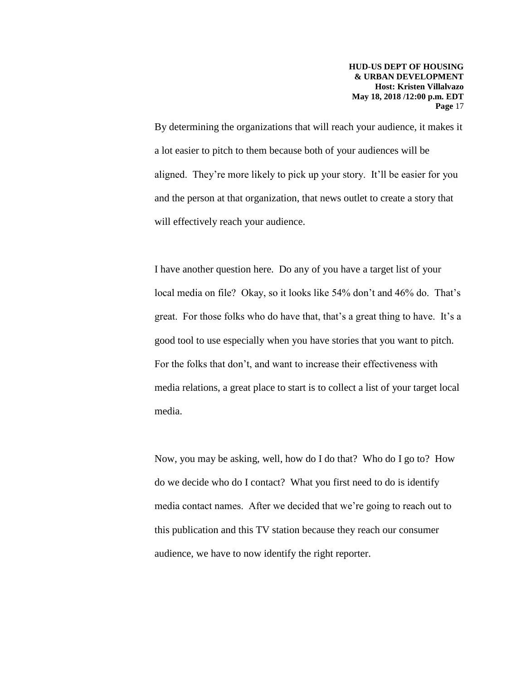By determining the organizations that will reach your audience, it makes it a lot easier to pitch to them because both of your audiences will be aligned. They're more likely to pick up your story. It'll be easier for you and the person at that organization, that news outlet to create a story that will effectively reach your audience.

I have another question here. Do any of you have a target list of your local media on file? Okay, so it looks like 54% don't and 46% do. That's great. For those folks who do have that, that's a great thing to have. It's a good tool to use especially when you have stories that you want to pitch. For the folks that don't, and want to increase their effectiveness with media relations, a great place to start is to collect a list of your target local media.

Now, you may be asking, well, how do I do that? Who do I go to? How do we decide who do I contact? What you first need to do is identify media contact names. After we decided that we're going to reach out to this publication and this TV station because they reach our consumer audience, we have to now identify the right reporter.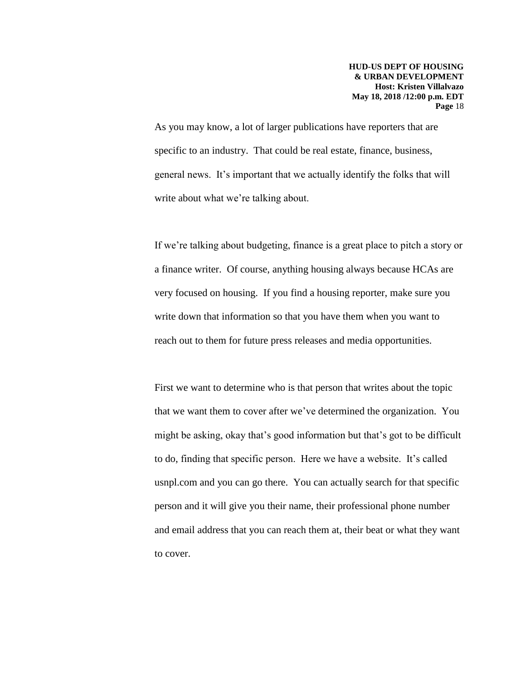As you may know, a lot of larger publications have reporters that are specific to an industry. That could be real estate, finance, business, general news. It's important that we actually identify the folks that will write about what we're talking about.

If we're talking about budgeting, finance is a great place to pitch a story or a finance writer. Of course, anything housing always because HCAs are very focused on housing. If you find a housing reporter, make sure you write down that information so that you have them when you want to reach out to them for future press releases and media opportunities.

First we want to determine who is that person that writes about the topic that we want them to cover after we've determined the organization. You might be asking, okay that's good information but that's got to be difficult to do, finding that specific person. Here we have a website. It's called usnpl.com and you can go there. You can actually search for that specific person and it will give you their name, their professional phone number and email address that you can reach them at, their beat or what they want to cover.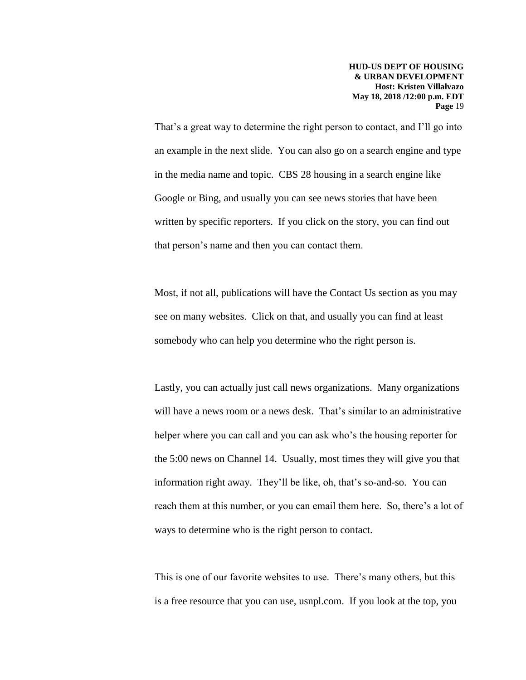That's a great way to determine the right person to contact, and I'll go into an example in the next slide. You can also go on a search engine and type in the media name and topic. CBS 28 housing in a search engine like Google or Bing, and usually you can see news stories that have been written by specific reporters. If you click on the story, you can find out that person's name and then you can contact them.

Most, if not all, publications will have the Contact Us section as you may see on many websites. Click on that, and usually you can find at least somebody who can help you determine who the right person is.

Lastly, you can actually just call news organizations. Many organizations will have a news room or a news desk. That's similar to an administrative helper where you can call and you can ask who's the housing reporter for the 5:00 news on Channel 14. Usually, most times they will give you that information right away. They'll be like, oh, that's so-and-so. You can reach them at this number, or you can email them here. So, there's a lot of ways to determine who is the right person to contact.

This is one of our favorite websites to use. There's many others, but this is a free resource that you can use, usnpl.com. If you look at the top, you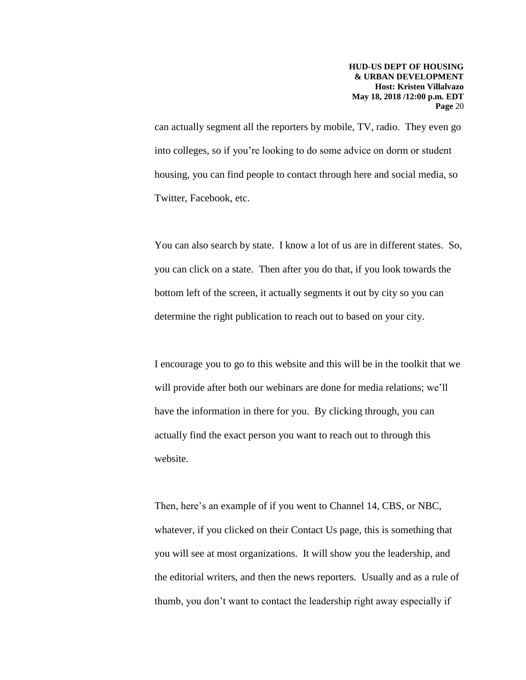can actually segment all the reporters by mobile, TV, radio. They even go into colleges, so if you're looking to do some advice on dorm or student housing, you can find people to contact through here and social media, so Twitter, Facebook, etc.

You can also search by state. I know a lot of us are in different states. So, you can click on a state. Then after you do that, if you look towards the bottom left of the screen, it actually segments it out by city so you can determine the right publication to reach out to based on your city.

I encourage you to go to this website and this will be in the toolkit that we will provide after both our webinars are done for media relations; we'll have the information in there for you. By clicking through, you can actually find the exact person you want to reach out to through this website.

Then, here's an example of if you went to Channel 14, CBS, or NBC, whatever, if you clicked on their Contact Us page, this is something that you will see at most organizations. It will show you the leadership, and the editorial writers, and then the news reporters. Usually and as a rule of thumb, you don't want to contact the leadership right away especially if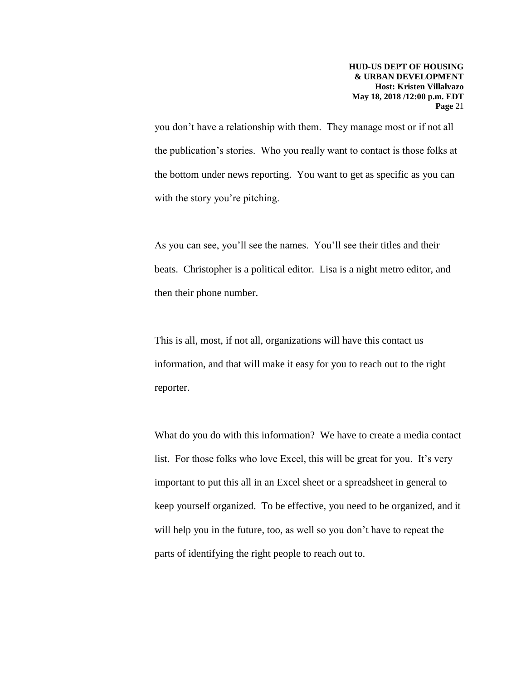you don't have a relationship with them. They manage most or if not all the publication's stories. Who you really want to contact is those folks at the bottom under news reporting. You want to get as specific as you can with the story you're pitching.

As you can see, you'll see the names. You'll see their titles and their beats. Christopher is a political editor. Lisa is a night metro editor, and then their phone number.

This is all, most, if not all, organizations will have this contact us information, and that will make it easy for you to reach out to the right reporter.

What do you do with this information? We have to create a media contact list. For those folks who love Excel, this will be great for you. It's very important to put this all in an Excel sheet or a spreadsheet in general to keep yourself organized. To be effective, you need to be organized, and it will help you in the future, too, as well so you don't have to repeat the parts of identifying the right people to reach out to.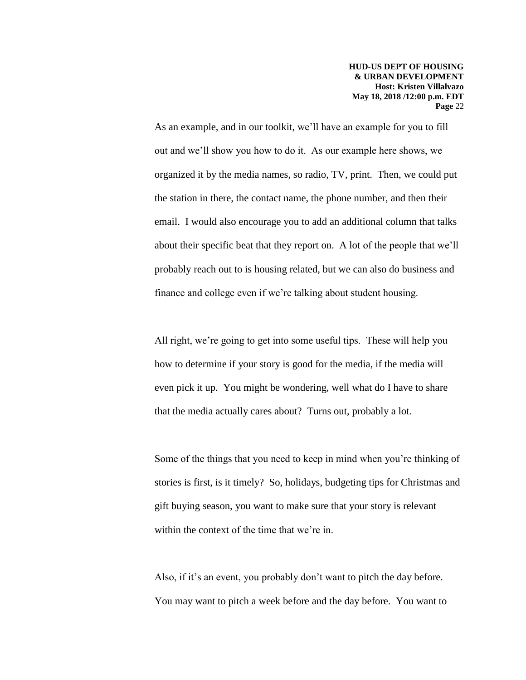As an example, and in our toolkit, we'll have an example for you to fill out and we'll show you how to do it. As our example here shows, we organized it by the media names, so radio, TV, print. Then, we could put the station in there, the contact name, the phone number, and then their email. I would also encourage you to add an additional column that talks about their specific beat that they report on. A lot of the people that we'll probably reach out to is housing related, but we can also do business and finance and college even if we're talking about student housing.

All right, we're going to get into some useful tips. These will help you how to determine if your story is good for the media, if the media will even pick it up. You might be wondering, well what do I have to share that the media actually cares about? Turns out, probably a lot.

Some of the things that you need to keep in mind when you're thinking of stories is first, is it timely? So, holidays, budgeting tips for Christmas and gift buying season, you want to make sure that your story is relevant within the context of the time that we're in.

Also, if it's an event, you probably don't want to pitch the day before. You may want to pitch a week before and the day before. You want to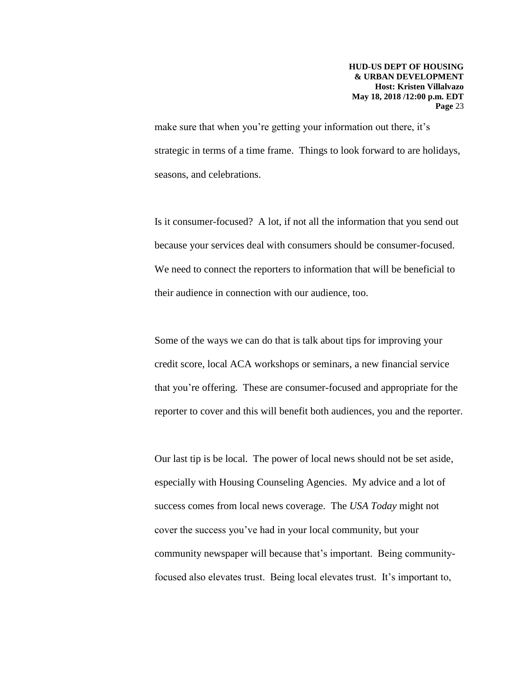make sure that when you're getting your information out there, it's strategic in terms of a time frame. Things to look forward to are holidays, seasons, and celebrations.

Is it consumer-focused? A lot, if not all the information that you send out because your services deal with consumers should be consumer-focused. We need to connect the reporters to information that will be beneficial to their audience in connection with our audience, too.

Some of the ways we can do that is talk about tips for improving your credit score, local ACA workshops or seminars, a new financial service that you're offering. These are consumer-focused and appropriate for the reporter to cover and this will benefit both audiences, you and the reporter.

Our last tip is be local. The power of local news should not be set aside, especially with Housing Counseling Agencies. My advice and a lot of success comes from local news coverage. The *USA Today* might not cover the success you've had in your local community, but your community newspaper will because that's important. Being communityfocused also elevates trust. Being local elevates trust. It's important to,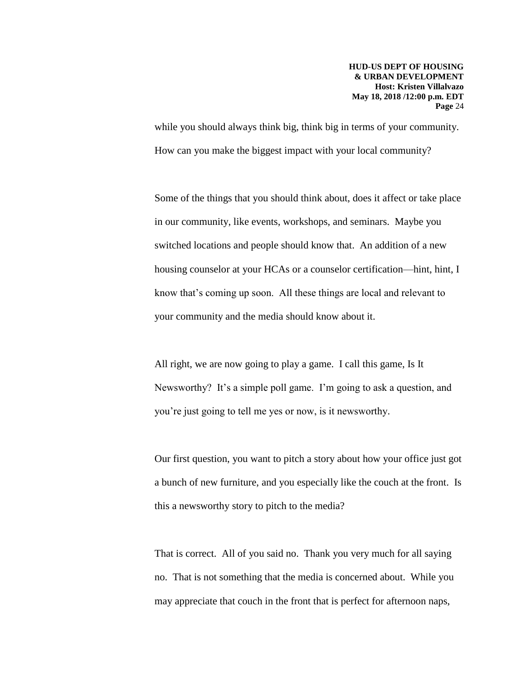while you should always think big, think big in terms of your community. How can you make the biggest impact with your local community?

Some of the things that you should think about, does it affect or take place in our community, like events, workshops, and seminars. Maybe you switched locations and people should know that. An addition of a new housing counselor at your HCAs or a counselor certification—hint, hint, I know that's coming up soon. All these things are local and relevant to your community and the media should know about it.

All right, we are now going to play a game. I call this game, Is It Newsworthy? It's a simple poll game. I'm going to ask a question, and you're just going to tell me yes or now, is it newsworthy.

Our first question, you want to pitch a story about how your office just got a bunch of new furniture, and you especially like the couch at the front. Is this a newsworthy story to pitch to the media?

That is correct. All of you said no. Thank you very much for all saying no. That is not something that the media is concerned about. While you may appreciate that couch in the front that is perfect for afternoon naps,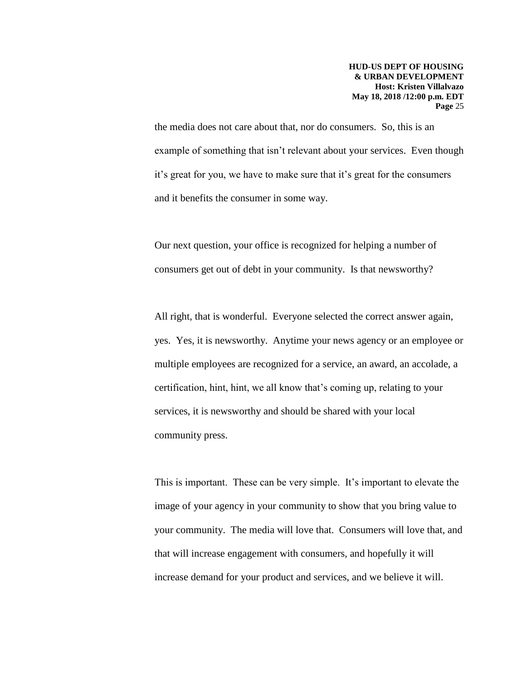the media does not care about that, nor do consumers. So, this is an example of something that isn't relevant about your services. Even though it's great for you, we have to make sure that it's great for the consumers and it benefits the consumer in some way.

Our next question, your office is recognized for helping a number of consumers get out of debt in your community. Is that newsworthy?

All right, that is wonderful. Everyone selected the correct answer again, yes. Yes, it is newsworthy. Anytime your news agency or an employee or multiple employees are recognized for a service, an award, an accolade, a certification, hint, hint, we all know that's coming up, relating to your services, it is newsworthy and should be shared with your local community press.

This is important. These can be very simple. It's important to elevate the image of your agency in your community to show that you bring value to your community. The media will love that. Consumers will love that, and that will increase engagement with consumers, and hopefully it will increase demand for your product and services, and we believe it will.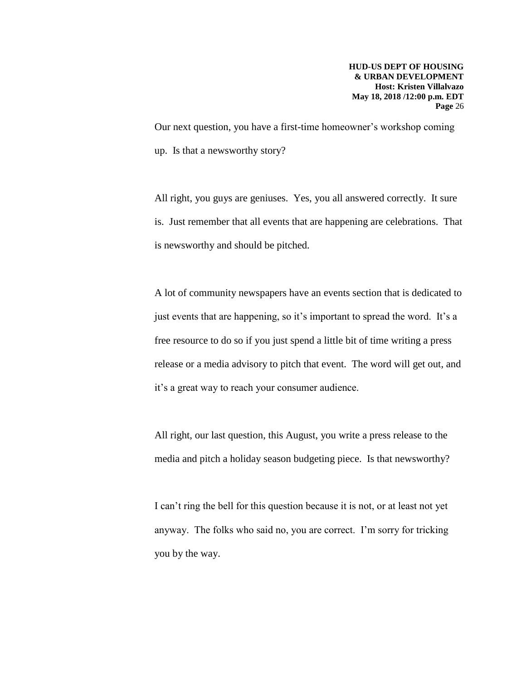Our next question, you have a first-time homeowner's workshop coming up. Is that a newsworthy story?

All right, you guys are geniuses. Yes, you all answered correctly. It sure is. Just remember that all events that are happening are celebrations. That is newsworthy and should be pitched.

A lot of community newspapers have an events section that is dedicated to just events that are happening, so it's important to spread the word. It's a free resource to do so if you just spend a little bit of time writing a press release or a media advisory to pitch that event. The word will get out, and it's a great way to reach your consumer audience.

All right, our last question, this August, you write a press release to the media and pitch a holiday season budgeting piece. Is that newsworthy?

I can't ring the bell for this question because it is not, or at least not yet anyway. The folks who said no, you are correct. I'm sorry for tricking you by the way.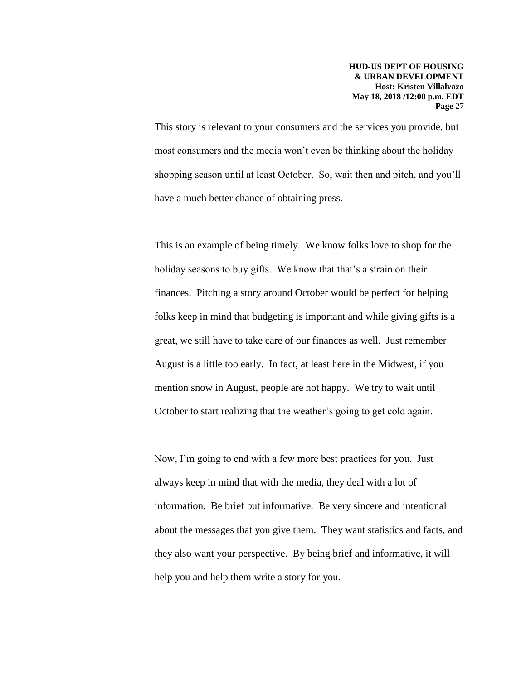This story is relevant to your consumers and the services you provide, but most consumers and the media won't even be thinking about the holiday shopping season until at least October. So, wait then and pitch, and you'll have a much better chance of obtaining press.

This is an example of being timely. We know folks love to shop for the holiday seasons to buy gifts. We know that that's a strain on their finances. Pitching a story around October would be perfect for helping folks keep in mind that budgeting is important and while giving gifts is a great, we still have to take care of our finances as well. Just remember August is a little too early. In fact, at least here in the Midwest, if you mention snow in August, people are not happy. We try to wait until October to start realizing that the weather's going to get cold again.

Now, I'm going to end with a few more best practices for you. Just always keep in mind that with the media, they deal with a lot of information. Be brief but informative. Be very sincere and intentional about the messages that you give them. They want statistics and facts, and they also want your perspective. By being brief and informative, it will help you and help them write a story for you.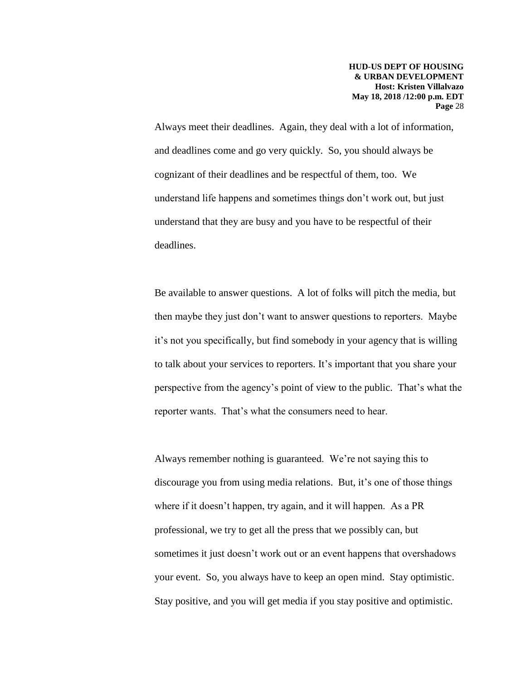Always meet their deadlines. Again, they deal with a lot of information, and deadlines come and go very quickly. So, you should always be cognizant of their deadlines and be respectful of them, too. We understand life happens and sometimes things don't work out, but just understand that they are busy and you have to be respectful of their deadlines.

Be available to answer questions. A lot of folks will pitch the media, but then maybe they just don't want to answer questions to reporters. Maybe it's not you specifically, but find somebody in your agency that is willing to talk about your services to reporters. It's important that you share your perspective from the agency's point of view to the public. That's what the reporter wants. That's what the consumers need to hear.

Always remember nothing is guaranteed. We're not saying this to discourage you from using media relations. But, it's one of those things where if it doesn't happen, try again, and it will happen. As a PR professional, we try to get all the press that we possibly can, but sometimes it just doesn't work out or an event happens that overshadows your event. So, you always have to keep an open mind. Stay optimistic. Stay positive, and you will get media if you stay positive and optimistic.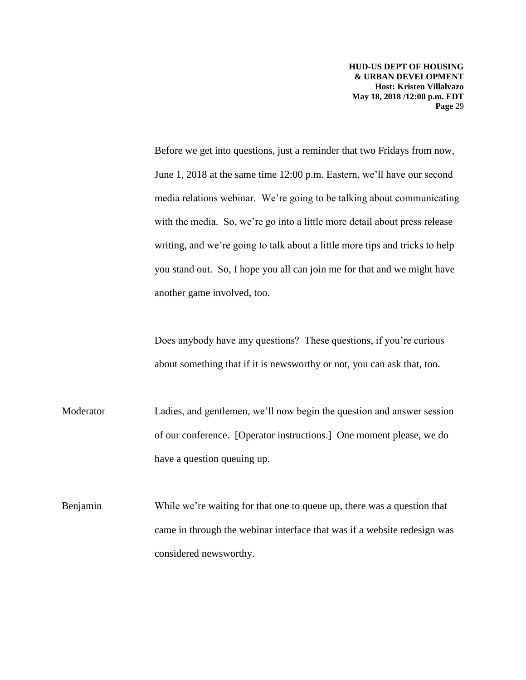Before we get into questions, just a reminder that two Fridays from now, June 1, 2018 at the same time 12:00 p.m. Eastern, we'll have our second media relations webinar. We're going to be talking about communicating with the media. So, we're go into a little more detail about press release writing, and we're going to talk about a little more tips and tricks to help you stand out. So, I hope you all can join me for that and we might have another game involved, too.

Does anybody have any questions? These questions, if you're curious about something that if it is newsworthy or not, you can ask that, too.

Moderator Ladies, and gentlemen, we'll now begin the question and answer session of our conference. [Operator instructions.] One moment please, we do have a question queuing up.

Benjamin While we're waiting for that one to queue up, there was a question that came in through the webinar interface that was if a website redesign was considered newsworthy.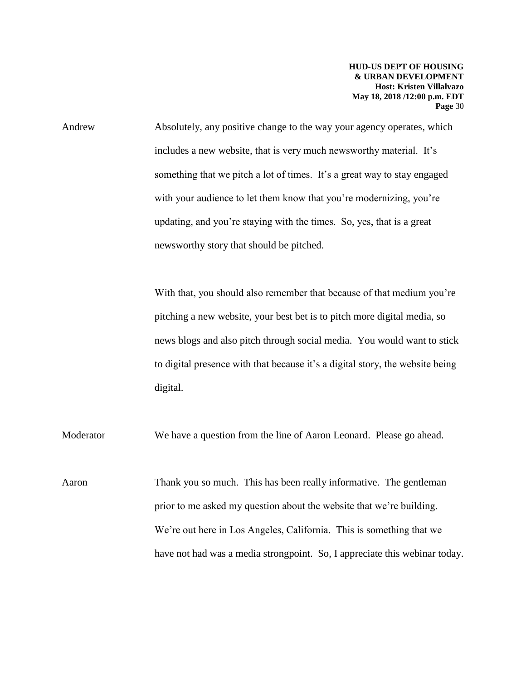Andrew Absolutely, any positive change to the way your agency operates, which includes a new website, that is very much newsworthy material. It's something that we pitch a lot of times. It's a great way to stay engaged with your audience to let them know that you're modernizing, you're updating, and you're staying with the times. So, yes, that is a great newsworthy story that should be pitched.

> With that, you should also remember that because of that medium you're pitching a new website, your best bet is to pitch more digital media, so news blogs and also pitch through social media. You would want to stick to digital presence with that because it's a digital story, the website being digital.

Moderator We have a question from the line of Aaron Leonard. Please go ahead.

Aaron Thank you so much. This has been really informative. The gentleman prior to me asked my question about the website that we're building. We're out here in Los Angeles, California. This is something that we have not had was a media strongpoint. So, I appreciate this webinar today.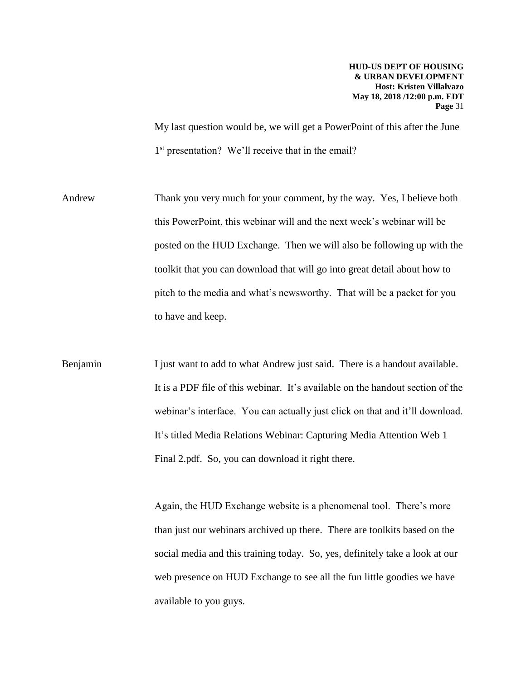My last question would be, we will get a PowerPoint of this after the June 1<sup>st</sup> presentation? We'll receive that in the email?

Andrew Thank you very much for your comment, by the way. Yes, I believe both this PowerPoint, this webinar will and the next week's webinar will be posted on the HUD Exchange. Then we will also be following up with the toolkit that you can download that will go into great detail about how to pitch to the media and what's newsworthy. That will be a packet for you to have and keep.

Benjamin I just want to add to what Andrew just said. There is a handout available. It is a PDF file of this webinar. It's available on the handout section of the webinar's interface. You can actually just click on that and it'll download. It's titled Media Relations Webinar: Capturing Media Attention Web 1 Final 2.pdf. So, you can download it right there.

> Again, the HUD Exchange website is a phenomenal tool. There's more than just our webinars archived up there. There are toolkits based on the social media and this training today. So, yes, definitely take a look at our web presence on HUD Exchange to see all the fun little goodies we have available to you guys.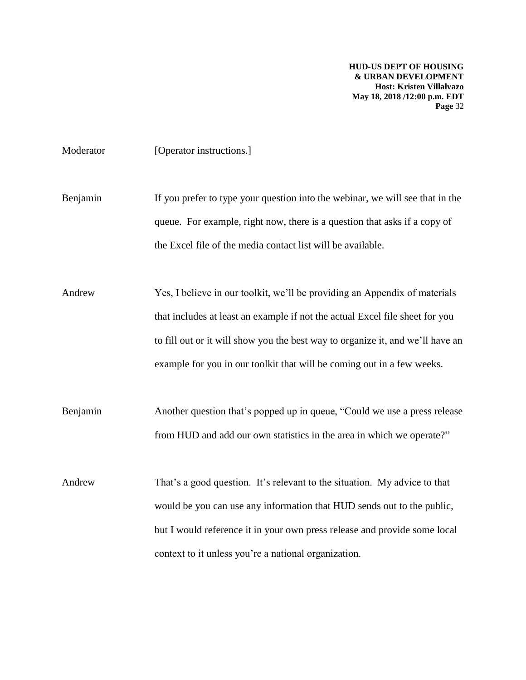Moderator [Operator instructions.]

Benjamin If you prefer to type your question into the webinar, we will see that in the queue. For example, right now, there is a question that asks if a copy of the Excel file of the media contact list will be available.

Andrew Yes, I believe in our toolkit, we'll be providing an Appendix of materials that includes at least an example if not the actual Excel file sheet for you to fill out or it will show you the best way to organize it, and we'll have an example for you in our toolkit that will be coming out in a few weeks.

Benjamin Another question that's popped up in queue, "Could we use a press release from HUD and add our own statistics in the area in which we operate?"

Andrew That's a good question. It's relevant to the situation. My advice to that would be you can use any information that HUD sends out to the public, but I would reference it in your own press release and provide some local context to it unless you're a national organization.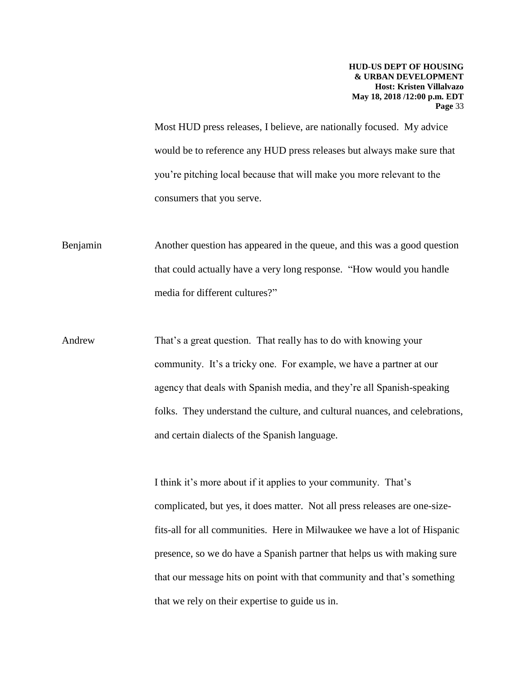Most HUD press releases, I believe, are nationally focused. My advice would be to reference any HUD press releases but always make sure that you're pitching local because that will make you more relevant to the consumers that you serve.

Benjamin Another question has appeared in the queue, and this was a good question that could actually have a very long response. "How would you handle media for different cultures?"

Andrew That's a great question. That really has to do with knowing your community. It's a tricky one. For example, we have a partner at our agency that deals with Spanish media, and they're all Spanish-speaking folks. They understand the culture, and cultural nuances, and celebrations, and certain dialects of the Spanish language.

> I think it's more about if it applies to your community. That's complicated, but yes, it does matter. Not all press releases are one-sizefits-all for all communities. Here in Milwaukee we have a lot of Hispanic presence, so we do have a Spanish partner that helps us with making sure that our message hits on point with that community and that's something that we rely on their expertise to guide us in.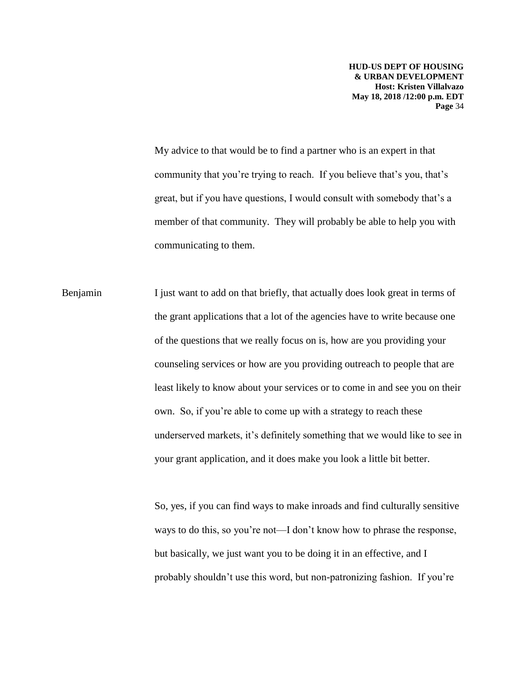My advice to that would be to find a partner who is an expert in that community that you're trying to reach. If you believe that's you, that's great, but if you have questions, I would consult with somebody that's a member of that community. They will probably be able to help you with communicating to them.

Benjamin I just want to add on that briefly, that actually does look great in terms of the grant applications that a lot of the agencies have to write because one of the questions that we really focus on is, how are you providing your counseling services or how are you providing outreach to people that are least likely to know about your services or to come in and see you on their own. So, if you're able to come up with a strategy to reach these underserved markets, it's definitely something that we would like to see in your grant application, and it does make you look a little bit better.

> So, yes, if you can find ways to make inroads and find culturally sensitive ways to do this, so you're not—I don't know how to phrase the response, but basically, we just want you to be doing it in an effective, and I probably shouldn't use this word, but non-patronizing fashion. If you're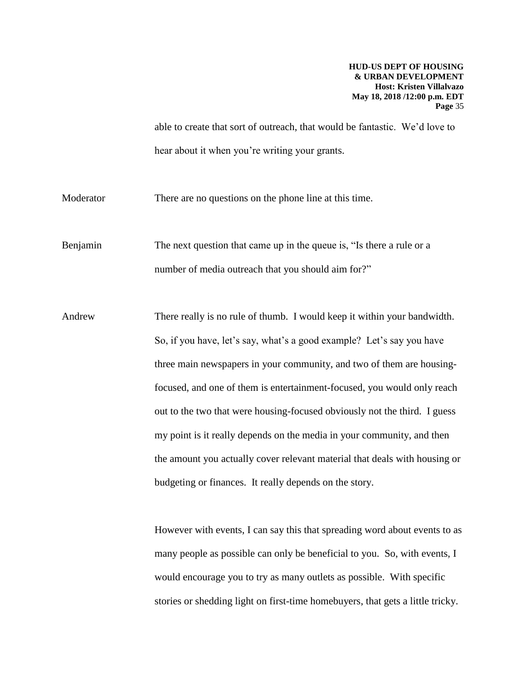able to create that sort of outreach, that would be fantastic. We'd love to hear about it when you're writing your grants.

Moderator There are no questions on the phone line at this time.

Benjamin The next question that came up in the queue is, "Is there a rule or a number of media outreach that you should aim for?"

Andrew There really is no rule of thumb. I would keep it within your bandwidth. So, if you have, let's say, what's a good example? Let's say you have three main newspapers in your community, and two of them are housingfocused, and one of them is entertainment-focused, you would only reach out to the two that were housing-focused obviously not the third. I guess my point is it really depends on the media in your community, and then the amount you actually cover relevant material that deals with housing or budgeting or finances. It really depends on the story.

> However with events, I can say this that spreading word about events to as many people as possible can only be beneficial to you. So, with events, I would encourage you to try as many outlets as possible. With specific stories or shedding light on first-time homebuyers, that gets a little tricky.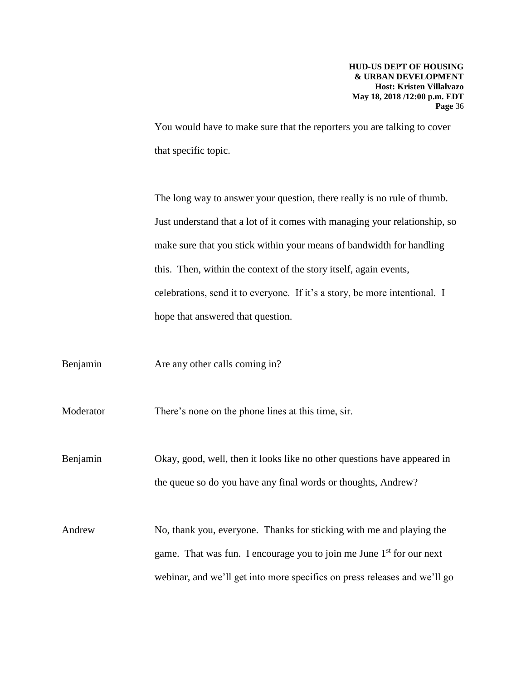You would have to make sure that the reporters you are talking to cover that specific topic.

The long way to answer your question, there really is no rule of thumb. Just understand that a lot of it comes with managing your relationship, so make sure that you stick within your means of bandwidth for handling this. Then, within the context of the story itself, again events, celebrations, send it to everyone. If it's a story, be more intentional. I hope that answered that question.

Benjamin Are any other calls coming in?

Moderator There's none on the phone lines at this time, sir.

Benjamin Okay, good, well, then it looks like no other questions have appeared in the queue so do you have any final words or thoughts, Andrew?

Andrew No, thank you, everyone. Thanks for sticking with me and playing the game. That was fun. I encourage you to join me June  $1<sup>st</sup>$  for our next webinar, and we'll get into more specifics on press releases and we'll go